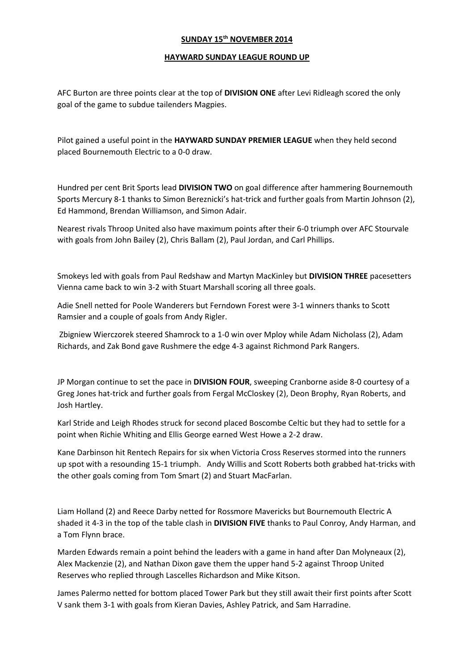### **SUNDAY 15th NOVEMBER 2014**

#### **HAYWARD SUNDAY LEAGUE ROUND UP**

AFC Burton are three points clear at the top of **DIVISION ONE** after Levi Ridleagh scored the only goal of the game to subdue tailenders Magpies.

Pilot gained a useful point in the **HAYWARD SUNDAY PREMIER LEAGUE** when they held second placed Bournemouth Electric to a 0-0 draw.

Hundred per cent Brit Sports lead **DIVISION TWO** on goal difference after hammering Bournemouth Sports Mercury 8-1 thanks to Simon Bereznicki's hat-trick and further goals from Martin Johnson (2), Ed Hammond, Brendan Williamson, and Simon Adair.

Nearest rivals Throop United also have maximum points after their 6-0 triumph over AFC Stourvale with goals from John Bailey (2), Chris Ballam (2), Paul Jordan, and Carl Phillips.

Smokeys led with goals from Paul Redshaw and Martyn MacKinley but **DIVISION THREE** pacesetters Vienna came back to win 3-2 with Stuart Marshall scoring all three goals.

Adie Snell netted for Poole Wanderers but Ferndown Forest were 3-1 winners thanks to Scott Ramsier and a couple of goals from Andy Rigler.

Zbigniew Wierczorek steered Shamrock to a 1-0 win over Mploy while Adam Nicholass (2), Adam Richards, and Zak Bond gave Rushmere the edge 4-3 against Richmond Park Rangers.

JP Morgan continue to set the pace in **DIVISION FOUR**, sweeping Cranborne aside 8-0 courtesy of a Greg Jones hat-trick and further goals from Fergal McCloskey (2), Deon Brophy, Ryan Roberts, and Josh Hartley.

Karl Stride and Leigh Rhodes struck for second placed Boscombe Celtic but they had to settle for a point when Richie Whiting and Ellis George earned West Howe a 2-2 draw.

Kane Darbinson hit Rentech Repairs for six when Victoria Cross Reserves stormed into the runners up spot with a resounding 15-1 triumph. Andy Willis and Scott Roberts both grabbed hat-tricks with the other goals coming from Tom Smart (2) and Stuart MacFarlan.

Liam Holland (2) and Reece Darby netted for Rossmore Mavericks but Bournemouth Electric A shaded it 4-3 in the top of the table clash in **DIVISION FIVE** thanks to Paul Conroy, Andy Harman, and a Tom Flynn brace.

Marden Edwards remain a point behind the leaders with a game in hand after Dan Molyneaux (2), Alex Mackenzie (2), and Nathan Dixon gave them the upper hand 5-2 against Throop United Reserves who replied through Lascelles Richardson and Mike Kitson.

James Palermo netted for bottom placed Tower Park but they still await their first points after Scott V sank them 3-1 with goals from Kieran Davies, Ashley Patrick, and Sam Harradine.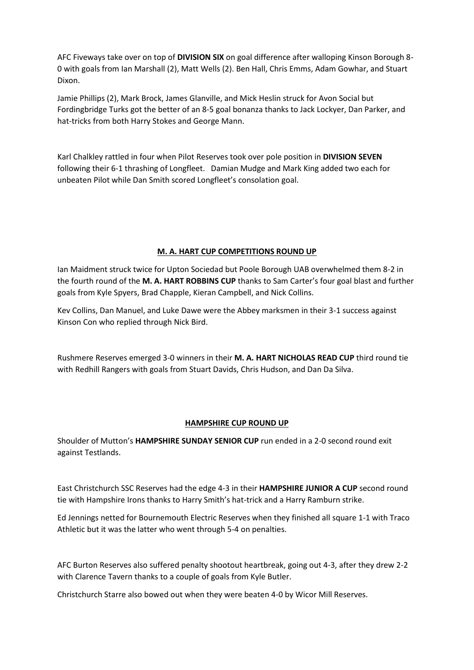AFC Fiveways take over on top of **DIVISION SIX** on goal difference after walloping Kinson Borough 8- 0 with goals from Ian Marshall (2), Matt Wells (2). Ben Hall, Chris Emms, Adam Gowhar, and Stuart Dixon.

Jamie Phillips (2), Mark Brock, James Glanville, and Mick Heslin struck for Avon Social but Fordingbridge Turks got the better of an 8-5 goal bonanza thanks to Jack Lockyer, Dan Parker, and hat-tricks from both Harry Stokes and George Mann.

Karl Chalkley rattled in four when Pilot Reserves took over pole position in **DIVISION SEVEN** following their 6-1 thrashing of Longfleet. Damian Mudge and Mark King added two each for unbeaten Pilot while Dan Smith scored Longfleet's consolation goal.

### **M. A. HART CUP COMPETITIONS ROUND UP**

Ian Maidment struck twice for Upton Sociedad but Poole Borough UAB overwhelmed them 8-2 in the fourth round of the **M. A. HART ROBBINS CUP** thanks to Sam Carter's four goal blast and further goals from Kyle Spyers, Brad Chapple, Kieran Campbell, and Nick Collins.

Kev Collins, Dan Manuel, and Luke Dawe were the Abbey marksmen in their 3-1 success against Kinson Con who replied through Nick Bird.

Rushmere Reserves emerged 3-0 winners in their **M. A. HART NICHOLAS READ CUP** third round tie with Redhill Rangers with goals from Stuart Davids, Chris Hudson, and Dan Da Silva.

## **HAMPSHIRE CUP ROUND UP**

Shoulder of Mutton's **HAMPSHIRE SUNDAY SENIOR CUP** run ended in a 2-0 second round exit against Testlands.

East Christchurch SSC Reserves had the edge 4-3 in their **HAMPSHIRE JUNIOR A CUP** second round tie with Hampshire Irons thanks to Harry Smith's hat-trick and a Harry Ramburn strike.

Ed Jennings netted for Bournemouth Electric Reserves when they finished all square 1-1 with Traco Athletic but it was the latter who went through 5-4 on penalties.

AFC Burton Reserves also suffered penalty shootout heartbreak, going out 4-3, after they drew 2-2 with Clarence Tavern thanks to a couple of goals from Kyle Butler.

Christchurch Starre also bowed out when they were beaten 4-0 by Wicor Mill Reserves.